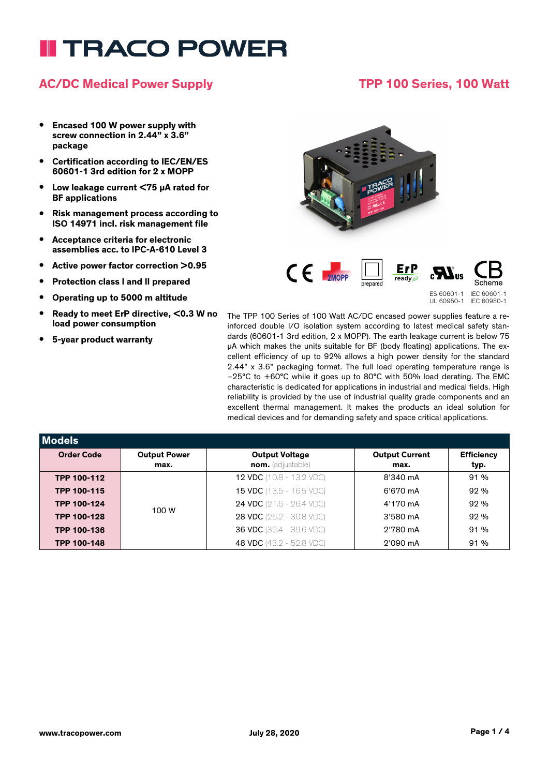# **TRACO POWER**

### **AC/DC Medical Power Supply TPP 100 Series, 100 Watt**

#### **• Encased 100 W power supply with screw connection in 2.44" x 3.6" package**

- **• Certification according to IEC/EN/ES 60601-1 3rd edition for 2 x MOPP**
- **• Low leakage current <75 µA rated for BF applications**
- **• Risk management process according to ISO 14971 incl. risk management file**
- **• Acceptance criteria for electronic assemblies acc. to IPC-A-610 Level 3**
- **• Active power factor correction >0.95**
- **• Protection class l and ll prepared**
- **• Operating up to 5000 m altitude**
- **• Ready to meet ErP directive, <0.3 W no load power consumption**
- **• 5-year product warranty**



The TPP 100 Series of 100 Watt AC/DC encased power supplies feature a reinforced double I/O isolation system according to latest medical safety standards (60601-1 3rd edition, 2 x MOPP). The earth leakage current is below 75 µA which makes the units suitable for BF (body floating) applications. The excellent efficiency of up to 92% allows a high power density for the standard 2.44" x 3.6" packaging format. The full load operating temperature range is –25°C to +60°C while it goes up to 80°C with 50% load derating. The EMC characteristic is dedicated for applications in industrial and medical fields. High reliability is provided by the use of industrial quality grade components and an excellent thermal management. It makes the products an ideal solution for medical devices and for demanding safety and space critical applications.

| <b>Models</b>      |                     |                                 |                       |                   |
|--------------------|---------------------|---------------------------------|-----------------------|-------------------|
| <b>Order Code</b>  | <b>Output Power</b> | <b>Output Voltage</b>           | <b>Output Current</b> | <b>Efficiency</b> |
|                    | max.                | nom. (adjustable)               | max.                  | typ.              |
| TPP 100-112        |                     | <b>12 VDC</b> (10.8 - 13.2 VDC) | 8'340 mA              | 91%               |
| TPP 100-115        | 100 W               | <b>15 VDC</b> (13.5 - 16.5 VDC) | 6'670 mA              | 92%               |
| TPP 100-124        |                     | <b>24 VDC</b> (21.6 - 26.4 VDC) | 4'170 mA              | 92%               |
| <b>TPP 100-128</b> |                     | <b>28 VDC</b> (25.2 - 30.8 VDC) | 3'580 mA              | 92%               |
| <b>TPP 100-136</b> |                     | <b>36 VDC</b> (32.4 - 39.6 VDC) | 2'780 mA              | 91%               |
| <b>TPP 100-148</b> |                     | 48 VDC (43.2 - 52.8 VDC)        | 2'090 mA              | 91%               |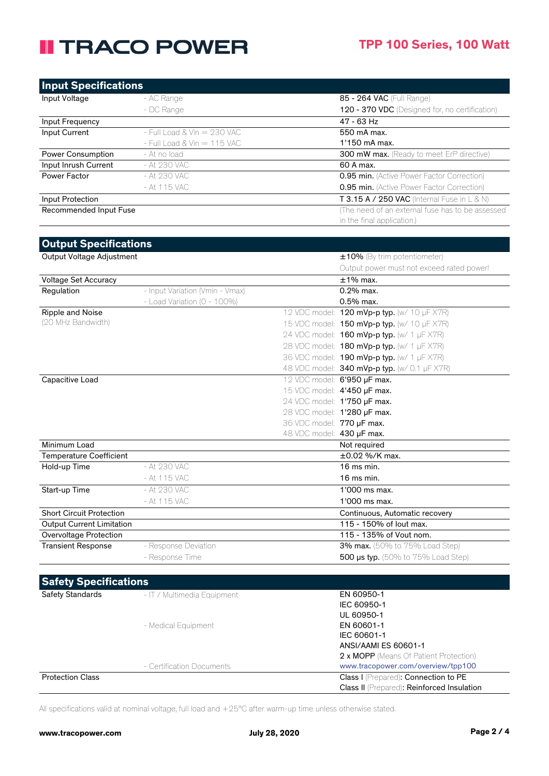# **II TRACO POWER**

| <b>Input Specifications</b>      |                                 |                           |                                                   |
|----------------------------------|---------------------------------|---------------------------|---------------------------------------------------|
| Input Voltage                    | - AC Range                      |                           | 85 - 264 VAC (Full Range)                         |
|                                  | - DC Range                      |                           | 120 - 370 VDC (Designed for, no certification)    |
| Input Frequency                  |                                 |                           | 47 - 63 Hz                                        |
| Input Current                    | $-$ Full Load & Vin $= 230$ VAC |                           | 550 mA max.                                       |
|                                  | - Full Load & Vin = 115 VAC     |                           | 1'150 mA max.                                     |
| Power Consumption                | - At no load                    |                           | 300 mW max. (Ready to meet ErP directive)         |
| Input Inrush Current             | - At 230 VAC                    |                           | 60 A max.                                         |
| Power Factor                     | - At 230 VAC                    |                           | 0.95 min. (Active Power Factor Correction)        |
|                                  | - At 115 VAC                    |                           | <b>0.95 min.</b> (Active Power Factor Correction) |
| Input Protection                 |                                 |                           | T 3.15 A / 250 VAC (Internal Fuse in L & N)       |
| Recommended Input Fuse           |                                 |                           | (The need of an external fuse has to be assessed  |
|                                  |                                 |                           | in the final application.)                        |
|                                  |                                 |                           |                                                   |
| <b>Output Specifications</b>     |                                 |                           |                                                   |
| Output Voltage Adjustment        |                                 |                           | ±10% (By trim potentiometer)                      |
|                                  |                                 |                           | Output power must not exceed rated power!         |
| Voltage Set Accuracy             |                                 |                           | $±1\%$ max.                                       |
| Regulation                       | - Input Variation (Vmin - Vmax) |                           | 0.2% max.                                         |
|                                  | - Load Variation (0 - 100%)     |                           | 0.5% max.                                         |
| Ripple and Noise                 |                                 |                           | 12 VDC model: 120 mVp-p typ. (w/ 10 µF X7R)       |
| (20 MHz Bandwidth)               |                                 |                           | 15 VDC model: 150 mVp-p typ. (w/ 10 µF X7R)       |
|                                  |                                 |                           | 24 VDC model: <b>160 mVp-p typ.</b> (w/ 1 µF X7R) |
|                                  |                                 |                           | 28 VDC model: 180 mVp-p typ. (w/ 1 µF X7R)        |
|                                  |                                 |                           | 36 VDC model: 190 mVp-p typ. (w/ 1 µF X7R)        |
|                                  |                                 |                           | 48 VDC model: 340 mVp-p typ. (w/ 0.1 µF X7R)      |
| Capacitive Load                  |                                 |                           | 12 VDC model: 6'950 µF max.                       |
|                                  |                                 |                           | 15 VDC model: 4'450 µF max.                       |
|                                  |                                 |                           | 24 VDC model: 1'750 µF max.                       |
|                                  |                                 |                           | 28 VDC model: 1'280 µF max.                       |
|                                  |                                 | 36 VDC model: 770 µF max. |                                                   |
|                                  |                                 | 48 VDC model: 430 µF max. |                                                   |
| Minimum Load                     |                                 |                           | Not required                                      |
| <b>Temperature Coefficient</b>   |                                 |                           | $\pm 0.02$ %/K max.                               |
| Hold-up Time                     | - At 230 VAC                    |                           | $16$ ms min.                                      |
|                                  | - At 115 VAC                    |                           | $16$ ms min.                                      |
| Start-up Time                    | At 230 VAC                      |                           | $1'000$ ms max.                                   |
|                                  | - At 115 VAC                    |                           | 1'000 ms max.                                     |
| <b>Short Circuit Protection</b>  |                                 |                           | Continuous, Automatic recovery                    |
| <b>Output Current Limitation</b> |                                 |                           | 115 - 150% of lout max.                           |
| Overvoltage Protection           |                                 |                           | 115 - 135% of Vout nom.                           |
| <b>Transient Response</b>        | - Response Deviation            |                           | 3% max. (50% to 75% Load Step)                    |
|                                  | - Response Time                 |                           | <b>500 µs typ.</b> (50% to 75% Load Step)         |
| <b>Safety Specifications</b>     |                                 |                           |                                                   |
| <b>Safety Standards</b>          |                                 |                           |                                                   |
|                                  | - IT / Multimedia Equipment     |                           | EN 60950-1<br>IEC 60950-1                         |
|                                  |                                 |                           | UL 60950-1                                        |
|                                  | - Medical Equipment             |                           | EN 60601-1                                        |
|                                  |                                 |                           | IEC 60601-1                                       |

**Protection Class Class I (Prepared): Connection to PE** 

All specifications valid at nominal voltage, full load and +25°C after warm-up time unless otherwise stated.

- Certification Documents www.tracopower.com/overview/tpp100

ANSI/AAMI ES 60601-1

2 x MOPP (Means Of Patient Protection)

Class II (Prepared): Reinforced Insulation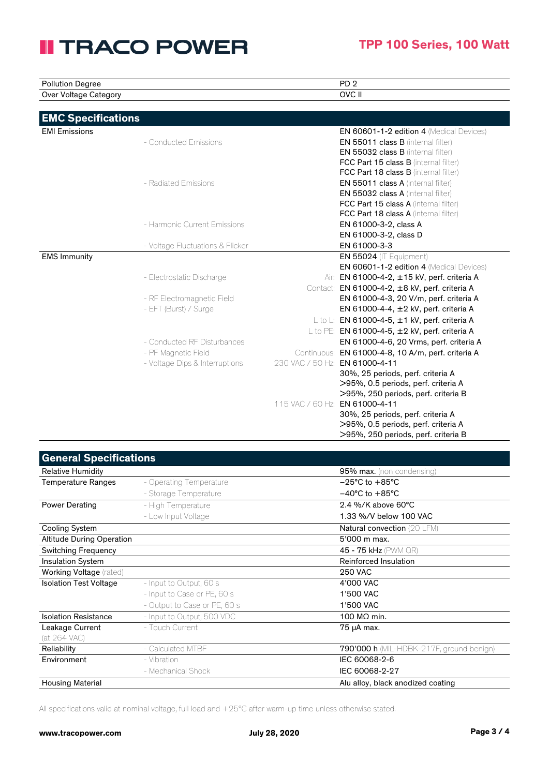# **II TRACO POWER**

>95%, 250 periods, perf. criteria B

30%, 25 periods, perf. criteria A >95%, 0.5 periods, perf. criteria A >95%, 250 periods, perf. criteria B

115 VAC / 60 Hz: EN 61000-4-11

| <b>Pollution Degree</b>   |                                  | PD <sub>2</sub>                                     |
|---------------------------|----------------------------------|-----------------------------------------------------|
| Over Voltage Category     |                                  | OVC II                                              |
| <b>EMC Specifications</b> |                                  |                                                     |
| <b>EMI Emissions</b>      |                                  | EN 60601-1-2 edition 4 (Medical Devices)            |
|                           | - Conducted Emissions            | EN 55011 class B (internal filter)                  |
|                           |                                  | EN 55032 class B (internal filter)                  |
|                           |                                  | FCC Part 15 class B (internal filter)               |
|                           |                                  | <b>FCC Part 18 class B</b> (internal filter)        |
|                           | - Radiated Emissions             | <b>EN 55011 class A (internal filter)</b>           |
|                           |                                  | EN 55032 class A (internal filter)                  |
|                           |                                  | FCC Part 15 class A (internal filter)               |
|                           |                                  | FCC Part 18 class A (internal filter)               |
|                           | - Harmonic Current Emissions     | EN 61000-3-2, class A                               |
|                           |                                  | EN 61000-3-2, class D                               |
|                           | - Voltage Fluctuations & Flicker | EN 61000-3-3                                        |
| <b>EMS Immunity</b>       |                                  | EN 55024 (IT Equipment)                             |
|                           |                                  | <b>EN 60601-1-2 edition 4</b> (Medical Devices)     |
|                           | - Electrostatic Discharge        | Air: EN 61000-4-2, ±15 kV, perf. criteria A         |
|                           |                                  | Contact: EN 61000-4-2, ±8 kV, perf. criteria A      |
|                           | - RF Electromagnetic Field       | EN 61000-4-3, 20 V/m, perf. criteria A              |
|                           | - EFT (Burst) / Surge            | EN 61000-4-4, $\pm 2$ kV, perf. criteria A          |
|                           |                                  | L to L: EN 61000-4-5, $\pm$ 1 kV, perf. criteria A  |
|                           |                                  | L to PE: EN 61000-4-5, $\pm 2$ kV, perf. criteria A |
|                           | - Conducted RF Disturbances      | EN 61000-4-6, 20 Vrms, perf. criteria A             |
|                           | - PF Magnetic Field              | Continuous: EN 61000-4-8, 10 A/m, perf. criteria A  |
|                           | - Voltage Dips & Interruptions   | 230 VAC / 50 Hz: EN 61000-4-11                      |
|                           |                                  | 30%, 25 periods, perf. criteria A                   |
|                           |                                  | >95%, 0.5 periods, perf. criteria A                 |

| <b>General Specifications</b>    |                              |                                          |
|----------------------------------|------------------------------|------------------------------------------|
| <b>Relative Humidity</b>         |                              | <b>95% max.</b> (non condensing)         |
| <b>Temperature Ranges</b>        | - Operating Temperature      | $-25^{\circ}$ C to $+85^{\circ}$ C       |
|                                  | - Storage Temperature        | $-40^{\circ}$ C to $+85^{\circ}$ C       |
| <b>Power Derating</b>            | - High Temperature           | 2.4 %/K above 60°C                       |
|                                  | - Low Input Voltage          | 1.33 %/V below 100 VAC                   |
| <b>Cooling System</b>            |                              | <b>Natural convection</b> (20 LFM)       |
| <b>Altitude During Operation</b> |                              | 5'000 m max.                             |
| <b>Switching Frequency</b>       |                              | 45 - 75 kHz (PWM QR)                     |
| <b>Insulation System</b>         |                              | Reinforced Insulation                    |
| Working Voltage (rated)          |                              | <b>250 VAC</b>                           |
| <b>Isolation Test Voltage</b>    | - Input to Output, 60 s      | 4'000 VAC                                |
|                                  | - Input to Case or PE, 60 s  | 1'500 VAC                                |
|                                  | - Output to Case or PE, 60 s | 1'500 VAC                                |
| <b>Isolation Resistance</b>      | - Input to Output, 500 VDC   | 100 $M\Omega$ min.                       |
| Leakage Current                  | - Touch Current              | 75 µA max.                               |
| (at 264 VAC)                     |                              |                                          |
| Reliability                      | - Calculated MTBF            | 790'000 h (MIL-HDBK-217F, ground benign) |
| Environment                      | - Vibration                  | IEC 60068-2-6                            |
|                                  | - Mechanical Shock           | IEC 60068-2-27                           |
| <b>Housing Material</b>          |                              | Alu alloy, black anodized coating        |
|                                  |                              |                                          |

All specifications valid at nominal voltage, full load and +25°C after warm-up time unless otherwise stated.